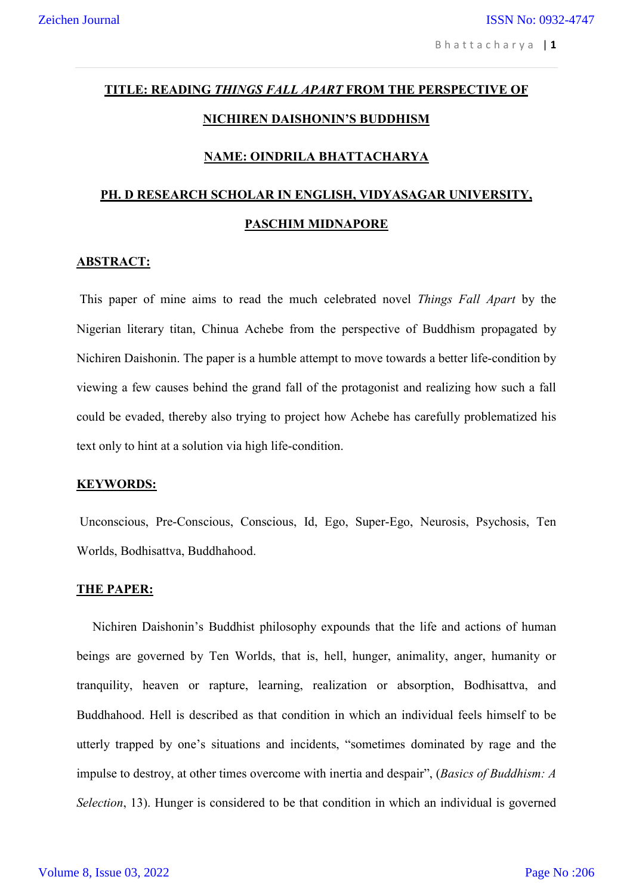# **TITLE: READING** *THINGS FALL APART* **FROM THE PERSPECTIVE OF NICHIREN DAISHONIN'S BUDDHISM**

#### **NAME: OINDRILA BHATTACHARYA**

## **PH. D RESEARCH SCHOLAR IN ENGLISH, VIDYASAGAR UNIVERSITY, PASCHIM MIDNAPORE**

#### **ABSTRACT:**

This paper of mine aims to read the much celebrated novel *Things Fall Apart* by the Nigerian literary titan, Chinua Achebe from the perspective of Buddhism propagated by Nichiren Daishonin. The paper is a humble attempt to move towards a better life-condition by viewing a few causes behind the grand fall of the protagonist and realizing how such a fall could be evaded, thereby also trying to project how Achebe has carefully problematized his text only to hint at a solution via high life-condition.

#### **KEYWORDS:**

Unconscious, Pre-Conscious, Conscious, Id, Ego, Super-Ego, Neurosis, Psychosis, Ten Worlds, Bodhisattva, Buddhahood.

#### **THE PAPER:**

 Nichiren Daishonin's Buddhist philosophy expounds that the life and actions of human beings are governed by Ten Worlds, that is, hell, hunger, animality, anger, humanity or tranquility, heaven or rapture, learning, realization or absorption, Bodhisattva, and Buddhahood. Hell is described as that condition in which an individual feels himself to be utterly trapped by one's situations and incidents, "sometimes dominated by rage and the impulse to destroy, at other times overcome with inertia and despair", (*Basics of Buddhism: A Selection*, 13). Hunger is considered to be that condition in which an individual is governed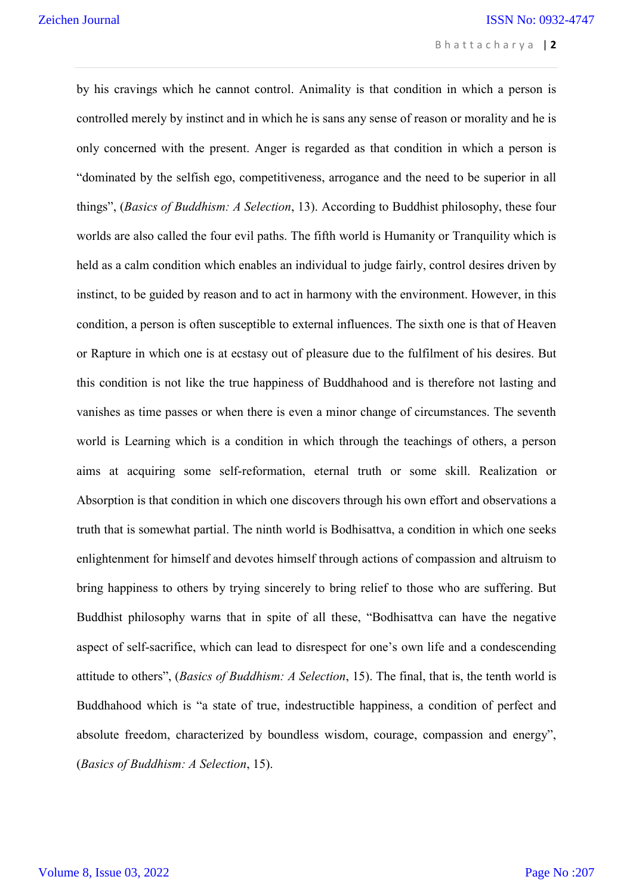by his cravings which he cannot control. Animality is that condition in which a person is controlled merely by instinct and in which he is sans any sense of reason or morality and he is only concerned with the present. Anger is regarded as that condition in which a person is "dominated by the selfish ego, competitiveness, arrogance and the need to be superior in all things", (*Basics of Buddhism: A Selection*, 13). According to Buddhist philosophy, these four worlds are also called the four evil paths. The fifth world is Humanity or Tranquility which is held as a calm condition which enables an individual to judge fairly, control desires driven by instinct, to be guided by reason and to act in harmony with the environment. However, in this condition, a person is often susceptible to external influences. The sixth one is that of Heaven or Rapture in which one is at ecstasy out of pleasure due to the fulfilment of his desires. But this condition is not like the true happiness of Buddhahood and is therefore not lasting and vanishes as time passes or when there is even a minor change of circumstances. The seventh world is Learning which is a condition in which through the teachings of others, a person aims at acquiring some self-reformation, eternal truth or some skill. Realization or Absorption is that condition in which one discovers through his own effort and observations a truth that is somewhat partial. The ninth world is Bodhisattva, a condition in which one seeks enlightenment for himself and devotes himself through actions of compassion and altruism to bring happiness to others by trying sincerely to bring relief to those who are suffering. But Buddhist philosophy warns that in spite of all these, "Bodhisattva can have the negative aspect of self-sacrifice, which can lead to disrespect for one's own life and a condescending attitude to others", (*Basics of Buddhism: A Selection*, 15). The final, that is, the tenth world is Buddhahood which is "a state of true, indestructible happiness, a condition of perfect and absolute freedom, characterized by boundless wisdom, courage, compassion and energy", (*Basics of Buddhism: A Selection*, 15).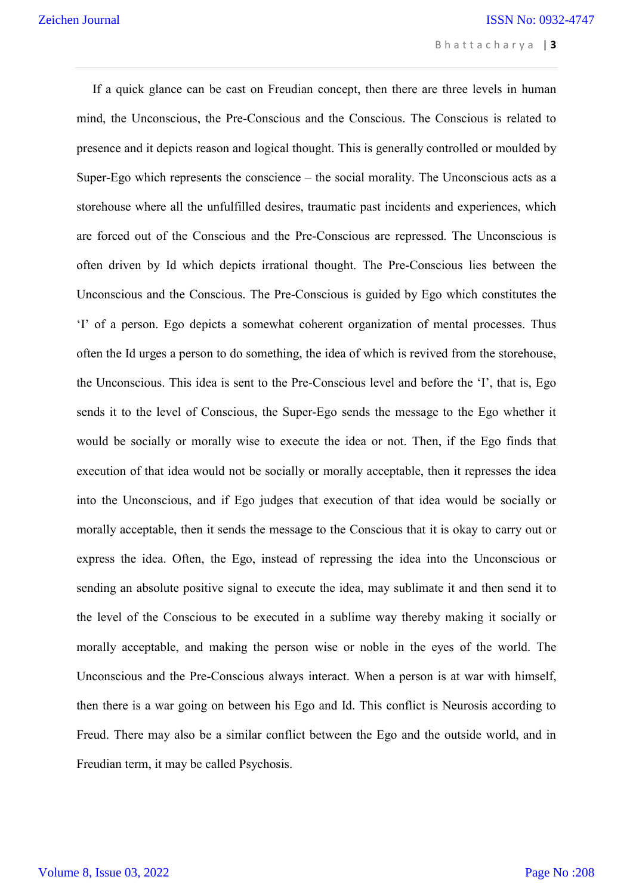If a quick glance can be cast on Freudian concept, then there are three levels in human mind, the Unconscious, the Pre-Conscious and the Conscious. The Conscious is related to presence and it depicts reason and logical thought. This is generally controlled or moulded by Super-Ego which represents the conscience – the social morality. The Unconscious acts as a storehouse where all the unfulfilled desires, traumatic past incidents and experiences, which are forced out of the Conscious and the Pre-Conscious are repressed. The Unconscious is often driven by Id which depicts irrational thought. The Pre-Conscious lies between the Unconscious and the Conscious. The Pre-Conscious is guided by Ego which constitutes the 'I' of a person. Ego depicts a somewhat coherent organization of mental processes. Thus often the Id urges a person to do something, the idea of which is revived from the storehouse, the Unconscious. This idea is sent to the Pre-Conscious level and before the 'I', that is, Ego sends it to the level of Conscious, the Super-Ego sends the message to the Ego whether it would be socially or morally wise to execute the idea or not. Then, if the Ego finds that execution of that idea would not be socially or morally acceptable, then it represses the idea into the Unconscious, and if Ego judges that execution of that idea would be socially or morally acceptable, then it sends the message to the Conscious that it is okay to carry out or express the idea. Often, the Ego, instead of repressing the idea into the Unconscious or sending an absolute positive signal to execute the idea, may sublimate it and then send it to the level of the Conscious to be executed in a sublime way thereby making it socially or morally acceptable, and making the person wise or noble in the eyes of the world. The Unconscious and the Pre-Conscious always interact. When a person is at war with himself, then there is a war going on between his Ego and Id. This conflict is Neurosis according to Freud. There may also be a similar conflict between the Ego and the outside world, and in Freudian term, it may be called Psychosis.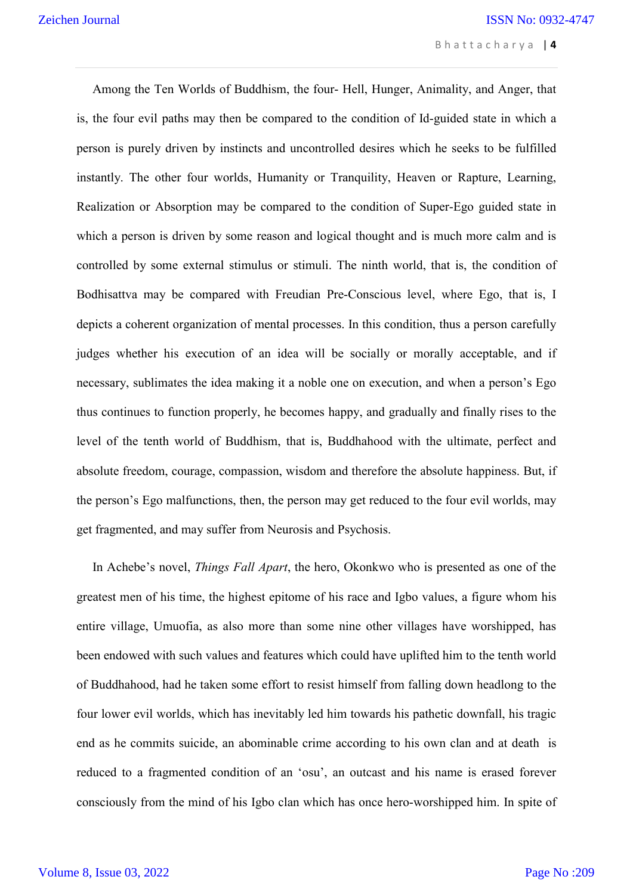Among the Ten Worlds of Buddhism, the four- Hell, Hunger, Animality, and Anger, that is, the four evil paths may then be compared to the condition of Id-guided state in which a person is purely driven by instincts and uncontrolled desires which he seeks to be fulfilled instantly. The other four worlds, Humanity or Tranquility, Heaven or Rapture, Learning, Realization or Absorption may be compared to the condition of Super-Ego guided state in which a person is driven by some reason and logical thought and is much more calm and is controlled by some external stimulus or stimuli. The ninth world, that is, the condition of Bodhisattva may be compared with Freudian Pre-Conscious level, where Ego, that is, I depicts a coherent organization of mental processes. In this condition, thus a person carefully judges whether his execution of an idea will be socially or morally acceptable, and if necessary, sublimates the idea making it a noble one on execution, and when a person's Ego thus continues to function properly, he becomes happy, and gradually and finally rises to the level of the tenth world of Buddhism, that is, Buddhahood with the ultimate, perfect and absolute freedom, courage, compassion, wisdom and therefore the absolute happiness. But, if the person's Ego malfunctions, then, the person may get reduced to the four evil worlds, may get fragmented, and may suffer from Neurosis and Psychosis.

 In Achebe's novel, *Things Fall Apart*, the hero, Okonkwo who is presented as one of the greatest men of his time, the highest epitome of his race and Igbo values, a figure whom his entire village, Umuofia, as also more than some nine other villages have worshipped, has been endowed with such values and features which could have uplifted him to the tenth world of Buddhahood, had he taken some effort to resist himself from falling down headlong to the four lower evil worlds, which has inevitably led him towards his pathetic downfall, his tragic end as he commits suicide, an abominable crime according to his own clan and at death is reduced to a fragmented condition of an 'osu', an outcast and his name is erased forever consciously from the mind of his Igbo clan which has once hero-worshipped him. In spite of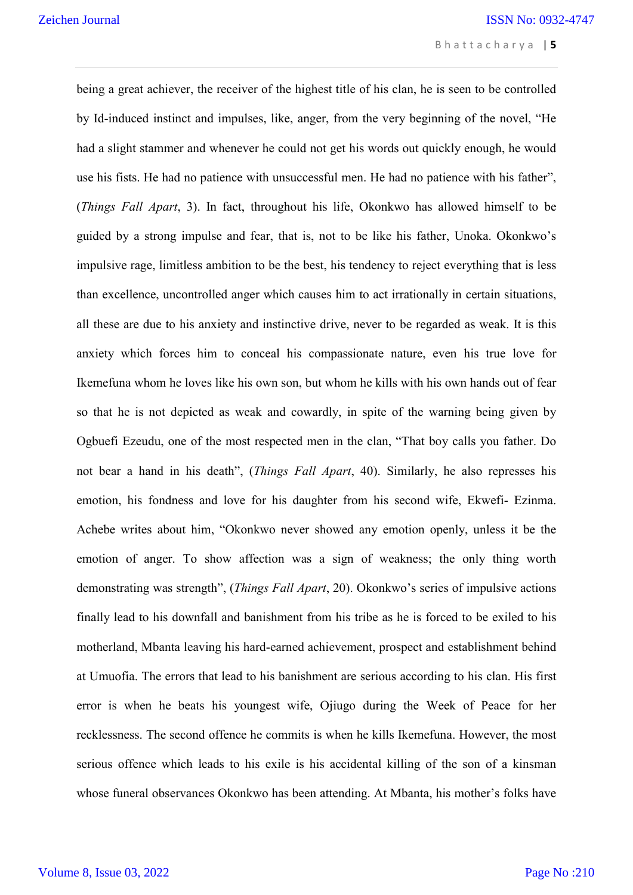being a great achiever, the receiver of the highest title of his clan, he is seen to be controlled by Id-induced instinct and impulses, like, anger, from the very beginning of the novel, "He had a slight stammer and whenever he could not get his words out quickly enough, he would use his fists. He had no patience with unsuccessful men. He had no patience with his father", (*Things Fall Apart*, 3). In fact, throughout his life, Okonkwo has allowed himself to be guided by a strong impulse and fear, that is, not to be like his father, Unoka. Okonkwo's impulsive rage, limitless ambition to be the best, his tendency to reject everything that is less than excellence, uncontrolled anger which causes him to act irrationally in certain situations, all these are due to his anxiety and instinctive drive, never to be regarded as weak. It is this anxiety which forces him to conceal his compassionate nature, even his true love for Ikemefuna whom he loves like his own son, but whom he kills with his own hands out of fear so that he is not depicted as weak and cowardly, in spite of the warning being given by Ogbuefi Ezeudu, one of the most respected men in the clan, "That boy calls you father. Do not bear a hand in his death", (*Things Fall Apart*, 40). Similarly, he also represses his emotion, his fondness and love for his daughter from his second wife, Ekwefi- Ezinma. Achebe writes about him, "Okonkwo never showed any emotion openly, unless it be the emotion of anger. To show affection was a sign of weakness; the only thing worth demonstrating was strength", (*Things Fall Apart*, 20). Okonkwo's series of impulsive actions finally lead to his downfall and banishment from his tribe as he is forced to be exiled to his motherland, Mbanta leaving his hard-earned achievement, prospect and establishment behind at Umuofia. The errors that lead to his banishment are serious according to his clan. His first error is when he beats his youngest wife, Ojiugo during the Week of Peace for her recklessness. The second offence he commits is when he kills Ikemefuna. However, the most serious offence which leads to his exile is his accidental killing of the son of a kinsman whose funeral observances Okonkwo has been attending. At Mbanta, his mother's folks have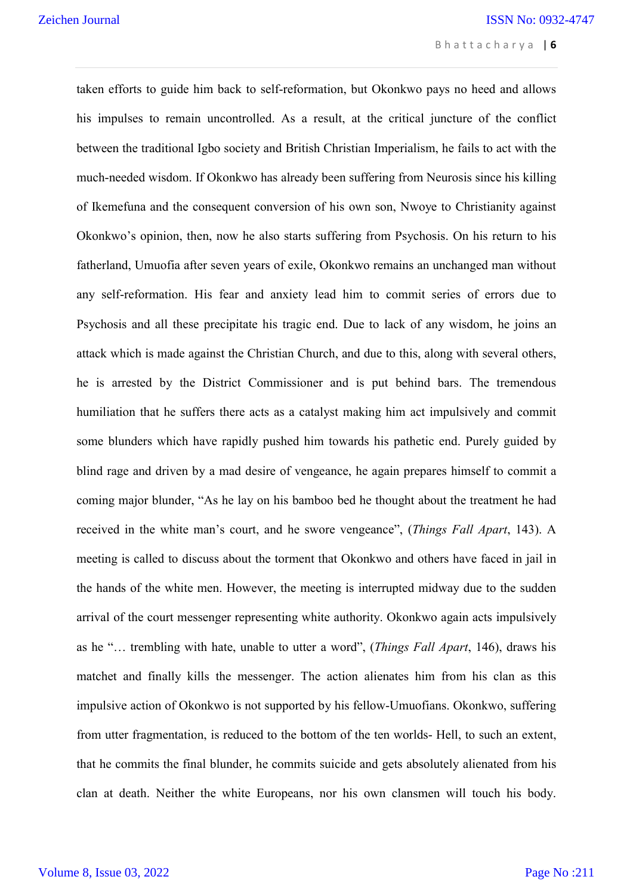taken efforts to guide him back to self-reformation, but Okonkwo pays no heed and allows his impulses to remain uncontrolled. As a result, at the critical juncture of the conflict between the traditional Igbo society and British Christian Imperialism, he fails to act with the much-needed wisdom. If Okonkwo has already been suffering from Neurosis since his killing of Ikemefuna and the consequent conversion of his own son, Nwoye to Christianity against Okonkwo's opinion, then, now he also starts suffering from Psychosis. On his return to his fatherland, Umuofia after seven years of exile, Okonkwo remains an unchanged man without any self-reformation. His fear and anxiety lead him to commit series of errors due to Psychosis and all these precipitate his tragic end. Due to lack of any wisdom, he joins an attack which is made against the Christian Church, and due to this, along with several others, he is arrested by the District Commissioner and is put behind bars. The tremendous humiliation that he suffers there acts as a catalyst making him act impulsively and commit some blunders which have rapidly pushed him towards his pathetic end. Purely guided by blind rage and driven by a mad desire of vengeance, he again prepares himself to commit a coming major blunder, "As he lay on his bamboo bed he thought about the treatment he had received in the white man's court, and he swore vengeance", (*Things Fall Apart*, 143). A meeting is called to discuss about the torment that Okonkwo and others have faced in jail in the hands of the white men. However, the meeting is interrupted midway due to the sudden arrival of the court messenger representing white authority. Okonkwo again acts impulsively as he "… trembling with hate, unable to utter a word", (*Things Fall Apart*, 146), draws his matchet and finally kills the messenger. The action alienates him from his clan as this impulsive action of Okonkwo is not supported by his fellow-Umuofians. Okonkwo, suffering from utter fragmentation, is reduced to the bottom of the ten worlds- Hell, to such an extent, that he commits the final blunder, he commits suicide and gets absolutely alienated from his clan at death. Neither the white Europeans, nor his own clansmen will touch his body.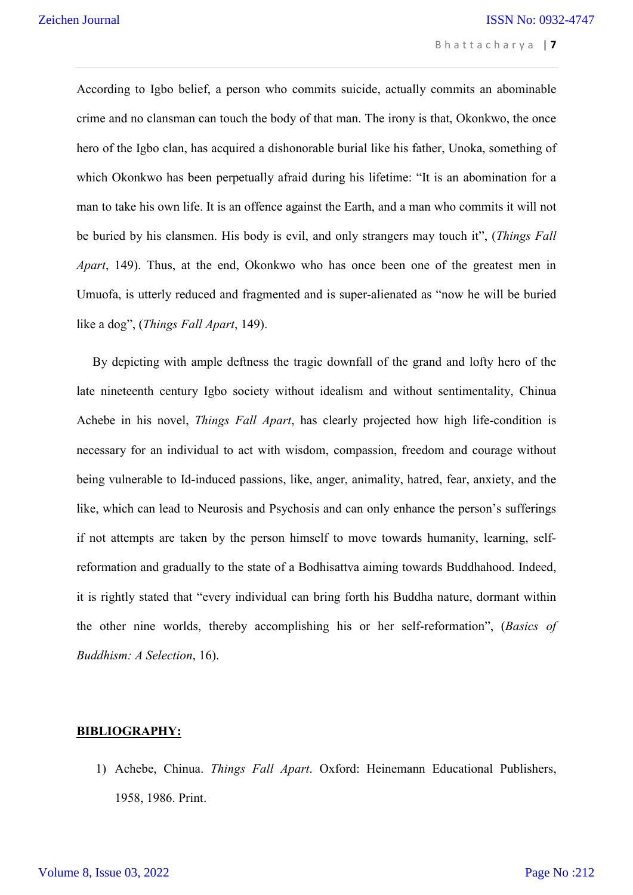According to Igbo belief, a person who commits suicide, actually commits an abominable crime and no clansman can touch the body of that man. The irony is that, Okonkwo, the once hero of the Igbo clan, has acquired a dishonorable burial like his father, Unoka, something of which Okonkwo has been perpetually afraid during his lifetime: "It is an abomination for a man to take his own life. It is an offence against the Earth, and a man who commits it will not be buried by his clansmen. His body is evil, and only strangers may touch it", (*Things Fall Apart*, 149). Thus, at the end, Okonkwo who has once been one of the greatest men in Umuofa, is utterly reduced and fragmented and is super-alienated as "now he will be buried like a dog", (*Things Fall Apart*, 149).

 By depicting with ample deftness the tragic downfall of the grand and lofty hero of the late nineteenth century Igbo society without idealism and without sentimentality, Chinua Achebe in his novel, *Things Fall Apart*, has clearly projected how high life-condition is necessary for an individual to act with wisdom, compassion, freedom and courage without being vulnerable to Id-induced passions, like, anger, animality, hatred, fear, anxiety, and the like, which can lead to Neurosis and Psychosis and can only enhance the person's sufferings if not attempts are taken by the person himself to move towards humanity, learning, selfreformation and gradually to the state of a Bodhisattva aiming towards Buddhahood. Indeed, it is rightly stated that "every individual can bring forth his Buddha nature, dormant within the other nine worlds, thereby accomplishing his or her self-reformation", (*Basics of Buddhism: A Selection*, 16).

#### **BIBLIOGRAPHY:**

1) Achebe, Chinua. *Things Fall Apart*. Oxford: Heinemann Educational Publishers, 1958, 1986. Print.